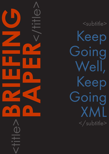**PAPER**<br>CONSTRAINS <title>**BRIEFING** 

<subtitle> Keep Going Well, Keep Going XML </subtitle>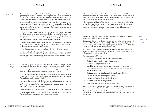## CAPDM Ltd. CAPDM Ltd.

Introduction The percentage of people in digital publishing old enough to remember the golden age of motoring is probably low enough that a few words of explanation are in order. Oil company Shell ran cross-border advertising for years that carried the jingle, "Keep going well, keep going Shell, you can be sure of Shell."

> Of course such a promise handed journalists and pundits an easy target any time the company's reserve estimates had to be re-assessed or one of their forecourts charged a penny over the odds for a gallon of four star but most will agree, immediate ups and downs accepted, people seek to align with that on which they can be sure.

> In publishing terms, Extensible Markup Language [\(XML\)](http://www.w3.org/standards/xml/) offers certainties. We'll come back to the features momentarily, but in terms of infrastructure you can be sure of XML for consistency of structure, ease of styling, linking and chunking, conversion to multiple outputs. Most important of all for many people, XML offers future-proofing against technology fads and fancies.

> Once the initial decisions have been made and style options set, XML tagging starts to become more of a measurable science than a black art; hence budgets and timescales can be accurately forecast.

Where the approach really comes into its own is at the point of publishing.

Whether educational materials, industry standards, operation manuals, procedural or technical reference "bibles" and nowadays books, XML brings structure, productivity and flexibility to the smallest or largest publisher's table.

In the 1990s [Edinburgh Business School](http://www.ebsglobal.net/) launched what has become the most internationally distributed distance learning MBA course in the world. Students demanded choices; some wanted quality printed materials while others would have nothing but online. Between the extremes was PDF and CD published options – not just in English but in Spanish, Arabic and Chinese.

Such was the challenge and opportunity a company emerged, named after the production process that was used to meet these requirements – Capture Author Publish Deliver and Manage – CAPDM.

Harnessing the power of XML all of the above has been achieved using one single master – revised, updated, adapted and dissected many times over in every way possible but always the "single source" remains intact – a treasure chest in the form of an XML repository.

Not every application is as wordy and cross-referenced as an MBA programme.

In some ways, smaller markets benefit more from XML in that the levels of flexibility offered overcome the lack of economies of scale.

Why XML has the X factor

Take a professional association with members divided on how "CPD" training materials should be delivered; online or in printed form. How much more important for niche publication is it that only one master, and all the work put into it, can be carried over to multiple outputs?

What about the publisher of tax updates – constant revisions, whether subtle or significant and multiple outputs – all requiring an audit trail and a quick turnaround. Whether to meet demand or to offer a selling point, these can be offered in client-specific styling to several clients, all from the one source.

Why do we cheer-lead XML? Perhaps even before that question is answered, what is XML and where did it come from?

XML was developed by an XML Working Group formed under the auspices of the World Wide Web Consortium (W3C) in 1996. It was chaired by Jon Bosak of Sun Microsystems with the active participation of an XML Special Interest Group. You can read all about it on [www.w3.org.](http://www.w3.org)

A subset of SGML, Standard Generalised Markup Language, anyone who grasps the concepts of the hierarchy and tagging used in internet applications will soon get it when it comes to XML.

The design goals for XML are:

- 1. XML shall be straightforwardly usable over the Internet.
- 2. XML shall support a wide variety of applications.
- 3. XML shall be compatible with SGML.
- 4. It shall be easy to write programs which process XML documents.
- 5. The number of optional features in XML is to be kept to the absolute minimum, ideally zero.
- 6. XML documents should be human-legible and reasonably clear.
- 7. The XML design should be prepared quickly.
- 8. The design of XML shall be formal and concise.
- 9. XML documents shall be easy to create.
- 10. Terseness in XML markup is of minimal importance.

XML is open source. Heavy duty users can license productivity tools and automation processes but XML itself it fee-free and 'open' to all.

XML is also independent of ultimate delivery vehicles, whether these be learning environments or output media from web portals to iPhones, printed manuals to talking books.

# Applied XML